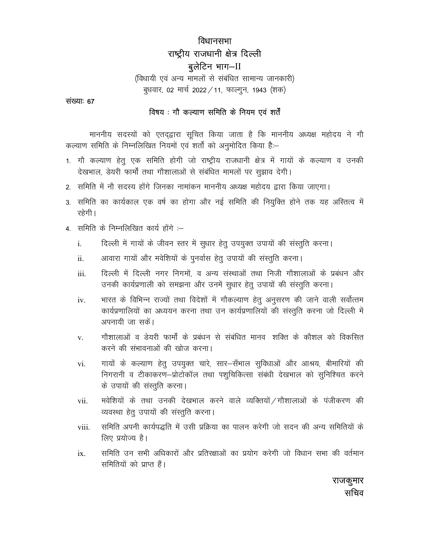# विधानसभा राष्ट्रीय राजधानी क्षेत्र दिल्ली बूलेटिन भाग-II

(विधायी एवं अन्य मामलों से संबंधित सामान्य जानकारी) बुधवार, 02 मार्च 2022 / 11, फाल्गुन, 1943 (शक)

संख्याः 67

#### विषय : गौ कल्याण समिति के नियम एवं शर्तें

माननीय सदस्यों को एतदृद्वारा सूचित किया जाता है कि माननीय अध्यक्ष महोदय ने गौ कल्याण समिति के निम्नलिखित नियमों एवं शर्तों को अनुमोदित किया है:-

- 1. गौ कल्याण हेतू एक समिति होगी जो राष्ट्रीय राजधानी क्षेत्र में गायों के कल्याण व उनकी देखभाल, डेयरी फार्मों तथा गौशालाओं से संबंधित मामलों पर सूझाव देगी।
- 2. समिति में नौ सदस्य होंगे जिनका नामांकन माननीय अध्यक्ष महोदय द्वारा किया जाएगा।
- 3. समिति का कार्यकाल एक वर्ष का होगा और नई समिति की नियुक्ति होने तक यह अस्तित्व में रहेगी।
- 4. समिति के निम्नलिखित कार्य होंगे :-
	- दिल्ली में गायों के जीवन स्तर में सुधार हेतु उपयुक्त उपायों की संस्तुति करना। i.
	- ii. आवारा गायों और मवेशियों के पुनर्वास हेतू उपायों की संस्तुति करना।
	- दिल्ली में दिल्ली नगर निगमों, व अन्य संस्थाओं तथा निजी गौशालाओं के प्रबंधन और iii. उनकी कार्यप्रणाली को समझना और उनमें सुधार हेतु उपायों की संस्तुति करना।
	- भारत के विभिन्न राज्यों तथा विदेशों में गौकल्याण हेतु अनुसरण की जाने वाली सर्वोत्तम iv. कार्यप्रणालियों का अध्ययन करना तथा उन कार्यप्रणालियों की संस्तुति करना जो दिल्ली में अपनायी जा सकें।
	- गौशालाओं व डेयरी फार्मों के प्रबंधन से संबंधित मानव शक्ति के कौशल को विकसित V. करने की संभावनाओं की खोज करना।
	- गायों के कल्याण हेतु उपयुक्त चारे, सार-सँभाल सुविधाओं और आश्रय, बीमारियों की vi. निगरानी व टीकाकरण-प्रोटोकॉल तथा पशुचिकित्सा संबंधी देखभाल को सुनिश्चित करने के उपायों की संस्तुति करना।
	- मवेशियों के तथा उनकी देखभाल करने वाले व्यक्तियों / गौशालाओं के पंजीकरण की vii. व्यवस्था हेतु उपायों की संस्तुति करना।
	- समिति अपनी कार्यपद्धति में उसी प्रक्रिया का पालन करेगी जो सदन की अन्य समितियों के viii. लिए प्रयोज्य है।
	- समिति उन सभी अधिकारों और प्रतिरक्षाओं का प्रयोग करेगी जो विधान सभा की वर्तमान ix. समितियों को प्राप्त हैं।